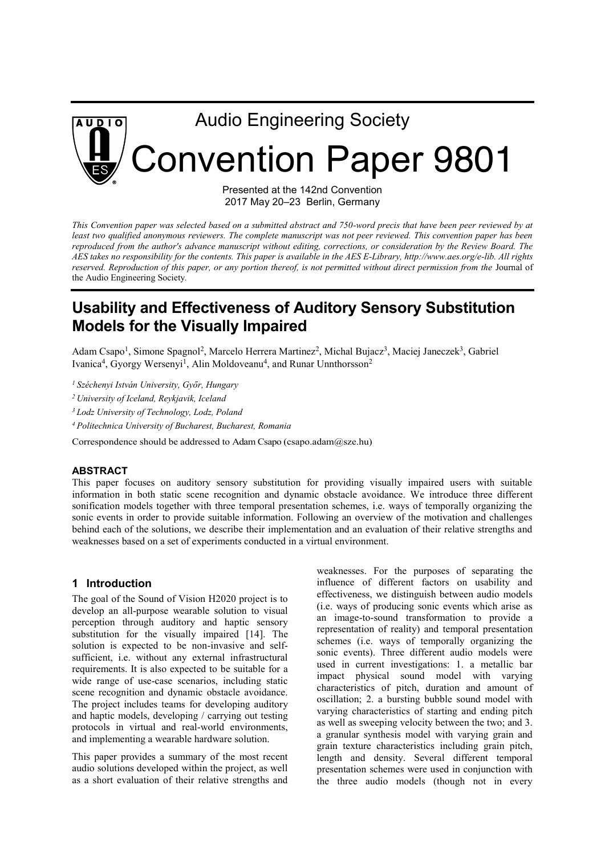

Presented at the 142nd Convention 2017 May 20–23 Berlin, Germany

*This Convention paper was selected based on a submitted abstract and 750-word precis that have been peer reviewed by at least two qualified anonymous reviewers. The complete manuscript was not peer reviewed. This convention paper has been*  reproduced from the author's advance manuscript without editing, corrections, or consideration by the Review Board. The *AES takes no responsibility for the contents. This paper is available in the AES E-Library, http://www.aes.org/e-lib. All rights*  reserved. Reproduction of this paper, or any portion thereof, is not permitted without direct permission from the Journal of the Audio Engineering Society*.* 

# **Usability and Effectiveness of Auditory Sensory Substitution Models for the Visually Impaired**

Adam Csapo<sup>1</sup>, Simone Spagnol<sup>2</sup>, Marcelo Herrera Martinez<sup>2</sup>, Michal Bujacz<sup>3</sup>, Maciej Janeczek<sup>3</sup>, Gabriel Ivanica<sup>4</sup>, Gyorgy Wersenyi<sup>1</sup>, Alin Moldoveanu<sup>4</sup>, and Runar Unnthorsson<sup>2</sup>

*<sup>1</sup> Széchenyi István University, Győr, Hungary*

*<sup>2</sup> University of Iceland, Reykjavik, Iceland* 

*<sup>3</sup> Lodz University of Technology, Lodz, Poland* 

*<sup>4</sup>Politechnica University of Bucharest, Bucharest, Romania* 

Correspondence should be addressed to Adam Csapo (csapo.adam@sze.hu)

#### **ABSTRACT**

This paper focuses on auditory sensory substitution for providing visually impaired users with suitable information in both static scene recognition and dynamic obstacle avoidance. We introduce three different sonification models together with three temporal presentation schemes, i.e. ways of temporally organizing the sonic events in order to provide suitable information. Following an overview of the motivation and challenges behind each of the solutions, we describe their implementation and an evaluation of their relative strengths and weaknesses based on a set of experiments conducted in a virtual environment.

#### **1 Introduction**

The goal of the Sound of Vision H2020 project is to develop an all-purpose wearable solution to visual perception through auditory and haptic sensory substitution for the visually impaired [14]. The solution is expected to be non-invasive and selfsufficient, i.e. without any external infrastructural requirements. It is also expected to be suitable for a wide range of use-case scenarios, including static scene recognition and dynamic obstacle avoidance. The project includes teams for developing auditory and haptic models, developing / carrying out testing protocols in virtual and real-world environments, and implementing a wearable hardware solution.

This paper provides a summary of the most recent audio solutions developed within the project, as well as a short evaluation of their relative strengths and weaknesses. For the purposes of separating the influence of different factors on usability and effectiveness, we distinguish between audio models (i.e. ways of producing sonic events which arise as an image-to-sound transformation to provide a representation of reality) and temporal presentation schemes (i.e. ways of temporally organizing the sonic events). Three different audio models were used in current investigations: 1. a metallic bar impact physical sound model with varying characteristics of pitch, duration and amount of oscillation; 2. a bursting bubble sound model with varying characteristics of starting and ending pitch as well as sweeping velocity between the two; and 3. a granular synthesis model with varying grain and grain texture characteristics including grain pitch, length and density. Several different temporal presentation schemes were used in conjunction with the three audio models (though not in every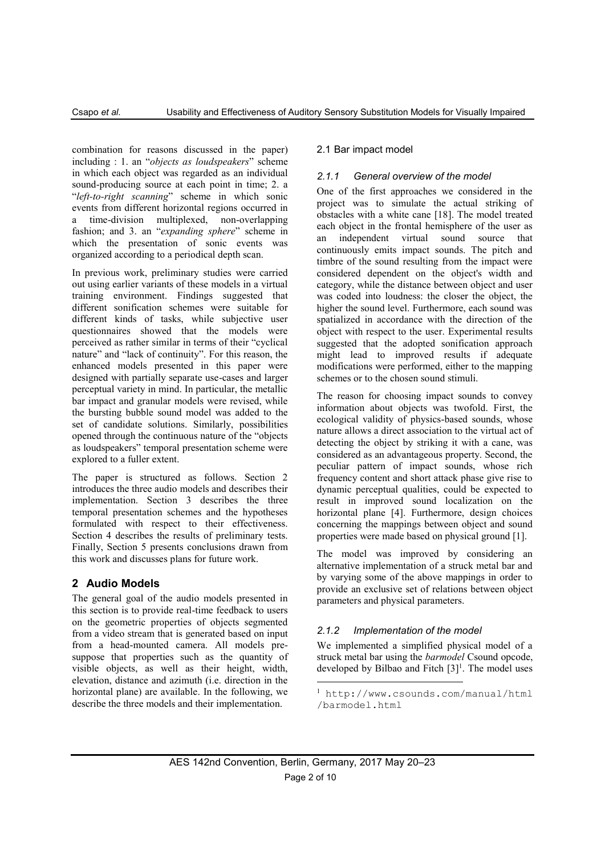combination for reasons discussed in the paper) including : 1. an "*objects as loudspeakers*" scheme in which each object was regarded as an individual sound-producing source at each point in time; 2. a "*left-to-right scanning*" scheme in which sonic events from different horizontal regions occurred in a time-division multiplexed, non-overlapping fashion; and 3. an "*expanding sphere*" scheme in which the presentation of sonic events was organized according to a periodical depth scan.

In previous work, preliminary studies were carried out using earlier variants of these models in a virtual training environment. Findings suggested that different sonification schemes were suitable for different kinds of tasks, while subjective user questionnaires showed that the models were perceived as rather similar in terms of their "cyclical nature" and "lack of continuity". For this reason, the enhanced models presented in this paper were designed with partially separate use-cases and larger perceptual variety in mind. In particular, the metallic bar impact and granular models were revised, while the bursting bubble sound model was added to the set of candidate solutions. Similarly, possibilities opened through the continuous nature of the "objects as loudspeakers" temporal presentation scheme were explored to a fuller extent.

The paper is structured as follows. Section 2 introduces the three audio models and describes their implementation. Section 3 describes the three temporal presentation schemes and the hypotheses formulated with respect to their effectiveness. Section 4 describes the results of preliminary tests. Finally, Section 5 presents conclusions drawn from this work and discusses plans for future work.

# **2 Audio Models**

The general goal of the audio models presented in this section is to provide real-time feedback to users on the geometric properties of objects segmented from a video stream that is generated based on input from a head-mounted camera. All models presuppose that properties such as the quantity of visible objects, as well as their height, width, elevation, distance and azimuth (i.e. direction in the horizontal plane) are available. In the following, we describe the three models and their implementation.

# 2.1 Bar impact model

# *2.1.1 General overview of the model*

One of the first approaches we considered in the project was to simulate the actual striking of obstacles with a white cane [18]. The model treated each object in the frontal hemisphere of the user as an independent virtual sound source that continuously emits impact sounds. The pitch and timbre of the sound resulting from the impact were considered dependent on the object's width and category, while the distance between object and user was coded into loudness: the closer the object, the higher the sound level. Furthermore, each sound was spatialized in accordance with the direction of the object with respect to the user. Experimental results suggested that the adopted sonification approach might lead to improved results if adequate modifications were performed, either to the mapping schemes or to the chosen sound stimuli.

The reason for choosing impact sounds to convey information about objects was twofold. First, the ecological validity of physics-based sounds, whose nature allows a direct association to the virtual act of detecting the object by striking it with a cane, was considered as an advantageous property. Second, the peculiar pattern of impact sounds, whose rich frequency content and short attack phase give rise to dynamic perceptual qualities, could be expected to result in improved sound localization on the horizontal plane [4]. Furthermore, design choices concerning the mappings between object and sound properties were made based on physical ground [1].

The model was improved by considering an alternative implementation of a struck metal bar and by varying some of the above mappings in order to provide an exclusive set of relations between object parameters and physical parameters.

# *2.1.2 Implementation of the model*

We implemented a simplified physical model of a struck metal bar using the *barmodel* Csound opcode, developed by Bilbao and Fitch  $[3]$ <sup>1</sup>. The model uses

1

<sup>1</sup> http://www.csounds.com/manual/html /barmodel.html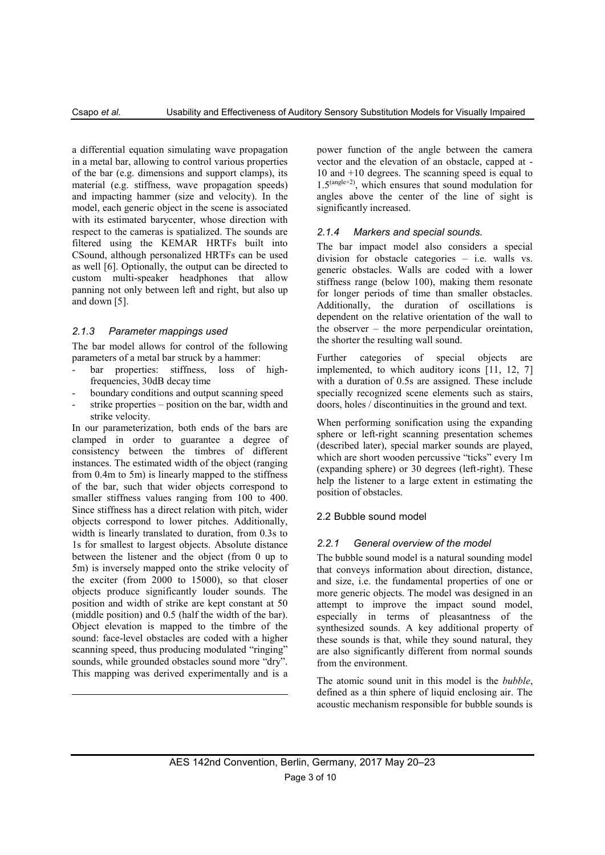a differential equation simulating wave propagation in a metal bar, allowing to control various properties of the bar (e.g. dimensions and support clamps), its material (e.g. stiffness, wave propagation speeds) and impacting hammer (size and velocity). In the model, each generic object in the scene is associated with its estimated barycenter, whose direction with respect to the cameras is spatialized. The sounds are filtered using the KEMAR HRTFs built into CSound, although personalized HRTFs can be used as well [6]. Optionally, the output can be directed to custom multi-speaker headphones that allow panning not only between left and right, but also up and down [5].

#### *2.1.3 Parameter mappings used*

The bar model allows for control of the following parameters of a metal bar struck by a hammer:

- bar properties: stiffness, loss of highfrequencies, 30dB decay time
- boundary conditions and output scanning speed
- strike properties  $-$  position on the bar, width and strike velocity.

In our parameterization, both ends of the bars are clamped in order to guarantee a degree of consistency between the timbres of different instances. The estimated width of the object (ranging from 0.4m to 5m) is linearly mapped to the stiffness of the bar, such that wider objects correspond to smaller stiffness values ranging from 100 to 400. Since stiffness has a direct relation with pitch, wider objects correspond to lower pitches. Additionally, width is linearly translated to duration, from 0.3s to 1s for smallest to largest objects. Absolute distance between the listener and the object (from 0 up to 5m) is inversely mapped onto the strike velocity of the exciter (from 2000 to 15000), so that closer objects produce significantly louder sounds. The position and width of strike are kept constant at 50 (middle position) and 0.5 (half the width of the bar). Object elevation is mapped to the timbre of the sound: face-level obstacles are coded with a higher scanning speed, thus producing modulated "ringing" sounds, while grounded obstacles sound more "dry". This mapping was derived experimentally and is a

 $\overline{\phantom{a}}$ 

power function of the angle between the camera vector and the elevation of an obstacle, capped at - 10 and +10 degrees. The scanning speed is equal to 1.5(angle+2), which ensures that sound modulation for angles above the center of the line of sight is significantly increased.

#### *2.1.4 Markers and special sounds.*

The bar impact model also considers a special division for obstacle categories – i.e. walls vs. generic obstacles. Walls are coded with a lower stiffness range (below 100), making them resonate for longer periods of time than smaller obstacles. Additionally, the duration of oscillations is dependent on the relative orientation of the wall to the observer – the more perpendicular oreintation, the shorter the resulting wall sound.

Further categories of special objects are implemented, to which auditory icons [11, 12, 7] with a duration of 0.5s are assigned. These include specially recognized scene elements such as stairs, doors, holes / discontinuities in the ground and text.

When performing sonification using the expanding sphere or left-right scanning presentation schemes (described later), special marker sounds are played, which are short wooden percussive "ticks" every 1m (expanding sphere) or 30 degrees (left-right). These help the listener to a large extent in estimating the position of obstacles.

### 2.2 Bubble sound model

#### *2.2.1 General overview of the model*

The bubble sound model is a natural sounding model that conveys information about direction, distance, and size, i.e. the fundamental properties of one or more generic objects. The model was designed in an attempt to improve the impact sound model, especially in terms of pleasantness of the synthesized sounds. A key additional property of these sounds is that, while they sound natural, they are also significantly different from normal sounds from the environment.

The atomic sound unit in this model is the *bubble*, defined as a thin sphere of liquid enclosing air. The acoustic mechanism responsible for bubble sounds is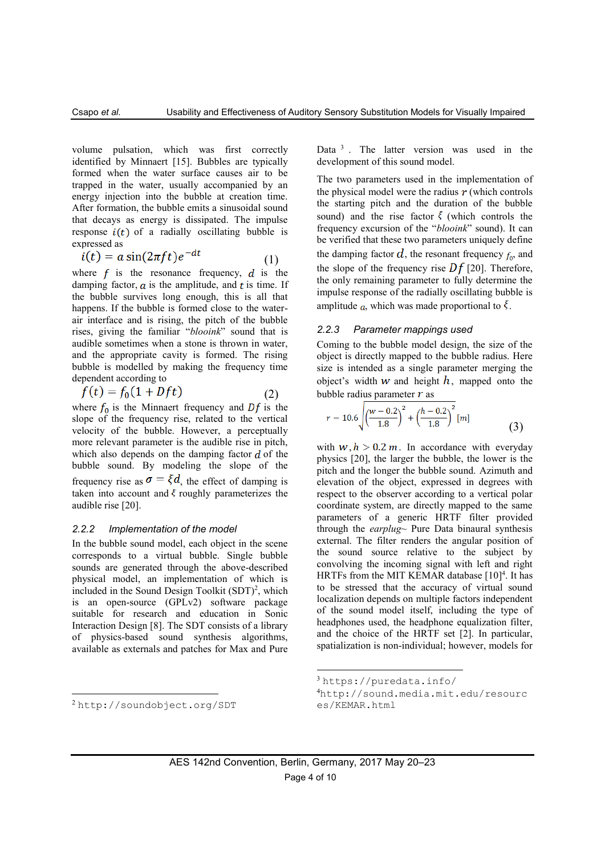volume pulsation, which was first correctly identified by Minnaert [15]. Bubbles are typically formed when the water surface causes air to be trapped in the water, usually accompanied by an energy injection into the bubble at creation time. After formation, the bubble emits a sinusoidal sound that decays as energy is dissipated. The impulse response  $i(t)$  of a radially oscillating bubble is expressed as

$$
i(t) = a\sin(2\pi ft)e^{-dt} \tag{1}
$$

where  $f$  is the resonance frequency,  $d$  is the damping factor,  $\alpha$  is the amplitude, and  $t$  is time. If the bubble survives long enough, this is all that happens. If the bubble is formed close to the waterair interface and is rising, the pitch of the bubble rises, giving the familiar "*blooink*" sound that is audible sometimes when a stone is thrown in water, and the appropriate cavity is formed. The rising bubble is modelled by making the frequency time dependent according to

$$
f(t) = f_0(1 + Dft) \tag{2}
$$

where  $f_0$  is the Minnaert frequency and  $Df$  is the slope of the frequency rise, related to the vertical velocity of the bubble. However, a perceptually more relevant parameter is the audible rise in pitch, which also depends on the damping factor  $d$  of the bubble sound. By modeling the slope of the frequency rise as  $\sigma = \xi d$ , the effect of damping is taken into account and  $\xi$  roughly parameterizes the audible rise [20].

#### *2.2.2 Implementation of the model*

In the bubble sound model, each object in the scene corresponds to a virtual bubble. Single bubble sounds are generated through the above-described physical model, an implementation of which is included in the Sound Design Toolkit (SDT)<sup>2</sup>, which is an open-source (GPLv2) software package suitable for research and education in Sonic Interaction Design [8]. The SDT consists of a library of physics-based sound synthesis algorithms, available as externals and patches for Max and Pure

Data<sup>3</sup>. The latter version was used in the development of this sound model.

The two parameters used in the implementation of the physical model were the radius  $r$  (which controls the starting pitch and the duration of the bubble sound) and the rise factor  $\xi$  (which controls the frequency excursion of the "*blooink*" sound). It can be verified that these two parameters uniquely define the damping factor  $d$ , the resonant frequency  $f_0$ , and the slope of the frequency rise  $\overline{D}f$  [20]. Therefore, the only remaining parameter to fully determine the impulse response of the radially oscillating bubble is amplitude a, which was made proportional to  $\xi$ .

#### *2.2.3 Parameter mappings used*

Coming to the bubble model design, the size of the object is directly mapped to the bubble radius. Here size is intended as a single parameter merging the object's width  $w$  and height  $h$ , mapped onto the bubble radius parameter  $r$  as

$$
r = 10.6 \sqrt{\left(\frac{w - 0.2}{1.8}\right)^2 + \left(\frac{h - 0.2}{1.8}\right)^2} [m]
$$
 (3)

with  $w, h > 0.2$  m. In accordance with everyday physics [20], the larger the bubble, the lower is the pitch and the longer the bubble sound. Azimuth and elevation of the object, expressed in degrees with respect to the observer according to a vertical polar coordinate system, are directly mapped to the same parameters of a generic HRTF filter provided through the *earplug~* Pure Data binaural synthesis external. The filter renders the angular position of the sound source relative to the subject by convolving the incoming signal with left and right HRTFs from the MIT KEMAR database  $[10]<sup>4</sup>$ . It has to be stressed that the accuracy of virtual sound localization depends on multiple factors independent of the sound model itself, including the type of headphones used, the headphone equalization filter, and the choice of the HRTF set [2]. In particular, spatialization is non-individual; however, models for

 $\overline{a}$ 

**.** 

<sup>3</sup> https://puredata.info/

<sup>4</sup>http://sound.media.mit.edu/resourc es/KEMAR.html

<sup>2</sup> http://soundobject.org/SDT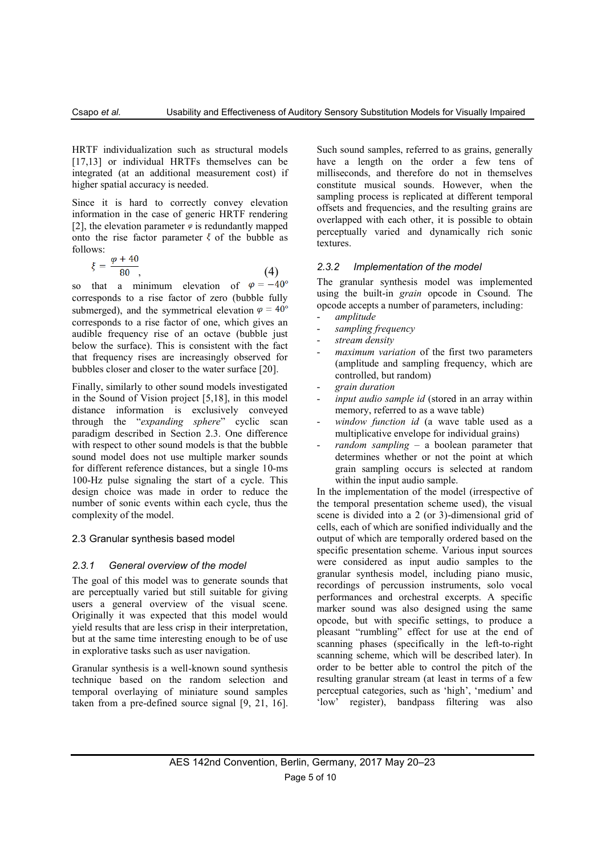HRTF individualization such as structural models [17,13] or individual HRTFs themselves can be integrated (at an additional measurement cost) if higher spatial accuracy is needed.

Since it is hard to correctly convey elevation information in the case of generic HRTF rendering [2], the elevation parameter  $\varphi$  is redundantly mapped onto the rise factor parameter  $\xi$  of the bubble as follows:

$$
\xi = \frac{\varphi + 40}{80},\tag{4}
$$

so that a minimum elevation of  $\varphi = -40^{\circ}$ corresponds to a rise factor of zero (bubble fully submerged), and the symmetrical elevation  $\varphi = 40^{\circ}$ corresponds to a rise factor of one, which gives an audible frequency rise of an octave (bubble just below the surface). This is consistent with the fact that frequency rises are increasingly observed for bubbles closer and closer to the water surface [20].

Finally, similarly to other sound models investigated in the Sound of Vision project [5,18], in this model distance information is exclusively conveyed through the "*expanding sphere*" cyclic scan paradigm described in Section 2.3. One difference with respect to other sound models is that the bubble sound model does not use multiple marker sounds for different reference distances, but a single 10-ms 100-Hz pulse signaling the start of a cycle. This design choice was made in order to reduce the number of sonic events within each cycle, thus the complexity of the model.

#### 2.3 Granular synthesis based model

#### *2.3.1 General overview of the model*

The goal of this model was to generate sounds that are perceptually varied but still suitable for giving users a general overview of the visual scene. Originally it was expected that this model would yield results that are less crisp in their interpretation, but at the same time interesting enough to be of use in explorative tasks such as user navigation.

Granular synthesis is a well-known sound synthesis technique based on the random selection and temporal overlaying of miniature sound samples taken from a pre-defined source signal [9, 21, 16]. Such sound samples, referred to as grains, generally have a length on the order a few tens of milliseconds, and therefore do not in themselves constitute musical sounds. However, when the sampling process is replicated at different temporal offsets and frequencies, and the resulting grains are overlapped with each other, it is possible to obtain perceptually varied and dynamically rich sonic textures.

### *2.3.2 Implementation of the model*

The granular synthesis model was implemented using the built-in *grain* opcode in Csound. The opcode accepts a number of parameters, including:

- *amplitude*
- *sampling frequency*
- *stream density*
- maximum variation of the first two parameters (amplitude and sampling frequency, which are controlled, but random)
- *grain duration*
- *input audio sample id* (stored in an array within memory, referred to as a wave table)
- window function id (a wave table used as a multiplicative envelope for individual grains)
- *random sampling* a boolean parameter that determines whether or not the point at which grain sampling occurs is selected at random within the input audio sample.

In the implementation of the model (irrespective of the temporal presentation scheme used), the visual scene is divided into a 2 (or 3)-dimensional grid of cells, each of which are sonified individually and the output of which are temporally ordered based on the specific presentation scheme. Various input sources were considered as input audio samples to the granular synthesis model, including piano music, recordings of percussion instruments, solo vocal performances and orchestral excerpts. A specific marker sound was also designed using the same opcode, but with specific settings, to produce a pleasant "rumbling" effect for use at the end of scanning phases (specifically in the left-to-right scanning scheme, which will be described later). In order to be better able to control the pitch of the resulting granular stream (at least in terms of a few perceptual categories, such as 'high', 'medium' and 'low' register), bandpass filtering was also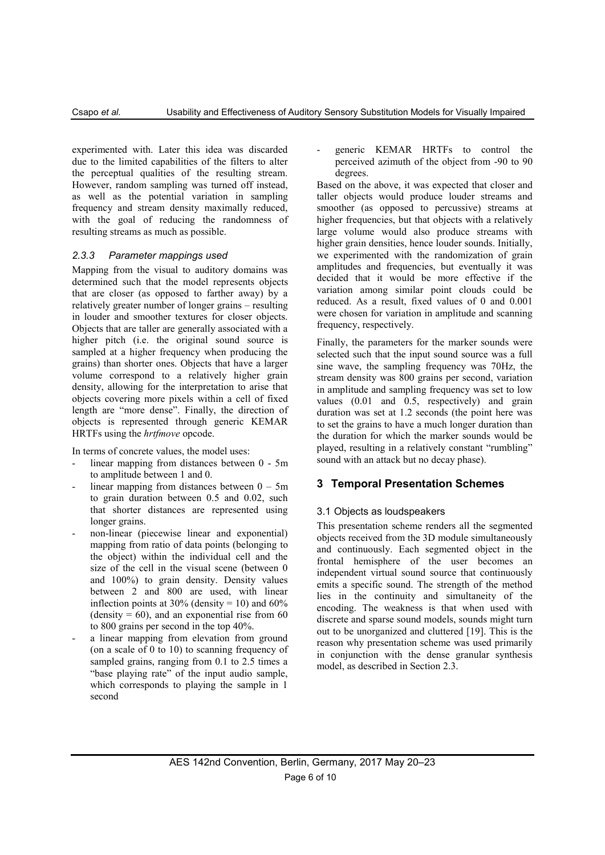experimented with. Later this idea was discarded due to the limited capabilities of the filters to alter the perceptual qualities of the resulting stream. However, random sampling was turned off instead, as well as the potential variation in sampling frequency and stream density maximally reduced, with the goal of reducing the randomness of resulting streams as much as possible.

# *2.3.3 Parameter mappings used*

Mapping from the visual to auditory domains was determined such that the model represents objects that are closer (as opposed to farther away) by a relatively greater number of longer grains – resulting in louder and smoother textures for closer objects. Objects that are taller are generally associated with a higher pitch (i.e. the original sound source is sampled at a higher frequency when producing the grains) than shorter ones. Objects that have a larger volume correspond to a relatively higher grain density, allowing for the interpretation to arise that objects covering more pixels within a cell of fixed length are "more dense". Finally, the direction of objects is represented through generic KEMAR HRTFs using the *hrtfmove* opcode.

In terms of concrete values, the model uses:

- linear mapping from distances between 0 5m to amplitude between 1 and 0.
- linear mapping from distances between  $0 5m$ to grain duration between 0.5 and 0.02, such that shorter distances are represented using longer grains.
- non-linear (piecewise linear and exponential) mapping from ratio of data points (belonging to the object) within the individual cell and the size of the cell in the visual scene (between 0 and 100%) to grain density. Density values between 2 and 800 are used, with linear inflection points at  $30\%$  (density = 10) and  $60\%$ (density  $= 60$ ), and an exponential rise from 60 to 800 grains per second in the top 40%.
- a linear mapping from elevation from ground (on a scale of 0 to 10) to scanning frequency of sampled grains, ranging from 0.1 to 2.5 times a "base playing rate" of the input audio sample, which corresponds to playing the sample in 1 second

generic KEMAR HRTFs to control the perceived azimuth of the object from -90 to 90 degrees.

Based on the above, it was expected that closer and taller objects would produce louder streams and smoother (as opposed to percussive) streams at higher frequencies, but that objects with a relatively large volume would also produce streams with higher grain densities, hence louder sounds. Initially, we experimented with the randomization of grain amplitudes and frequencies, but eventually it was decided that it would be more effective if the variation among similar point clouds could be reduced. As a result, fixed values of 0 and 0.001 were chosen for variation in amplitude and scanning frequency, respectively.

Finally, the parameters for the marker sounds were selected such that the input sound source was a full sine wave, the sampling frequency was 70Hz, the stream density was 800 grains per second, variation in amplitude and sampling frequency was set to low values (0.01 and 0.5, respectively) and grain duration was set at 1.2 seconds (the point here was to set the grains to have a much longer duration than the duration for which the marker sounds would be played, resulting in a relatively constant "rumbling" sound with an attack but no decay phase).

# **3 Temporal Presentation Schemes**

# 3.1 Objects as loudspeakers

This presentation scheme renders all the segmented objects received from the 3D module simultaneously and continuously. Each segmented object in the frontal hemisphere of the user becomes an independent virtual sound source that continuously emits a specific sound. The strength of the method lies in the continuity and simultaneity of the encoding. The weakness is that when used with discrete and sparse sound models, sounds might turn out to be unorganized and cluttered [19]. This is the reason why presentation scheme was used primarily in conjunction with the dense granular synthesis model, as described in Section 2.3.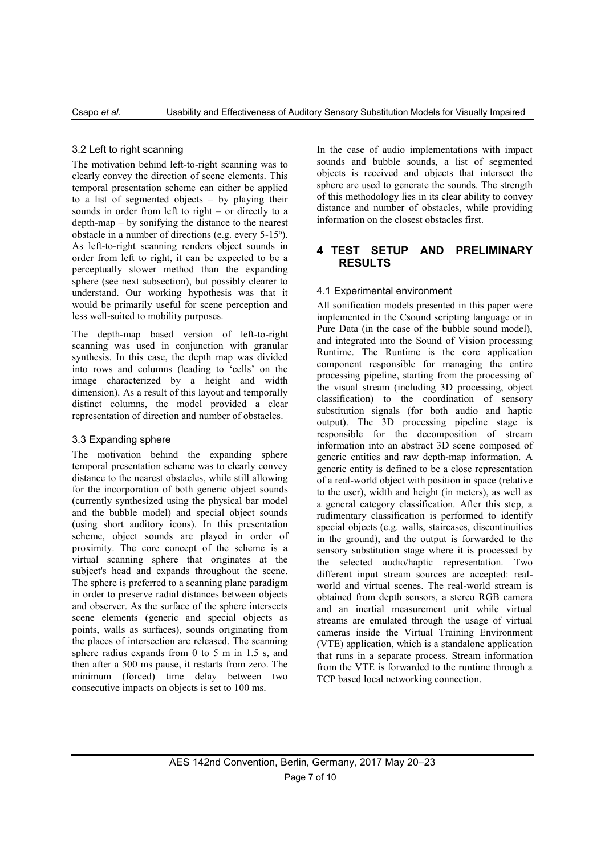### 3.2 Left to right scanning

The motivation behind left-to-right scanning was to clearly convey the direction of scene elements. This temporal presentation scheme can either be applied to a list of segmented objects – by playing their sounds in order from left to right – or directly to a depth-map – by sonifying the distance to the nearest obstacle in a number of directions (e.g. every 5-15°). As left-to-right scanning renders object sounds in order from left to right, it can be expected to be a perceptually slower method than the expanding sphere (see next subsection), but possibly clearer to understand. Our working hypothesis was that it would be primarily useful for scene perception and less well-suited to mobility purposes.

The depth-map based version of left-to-right scanning was used in conjunction with granular synthesis. In this case, the depth map was divided into rows and columns (leading to 'cells' on the image characterized by a height and width dimension). As a result of this layout and temporally distinct columns, the model provided a clear representation of direction and number of obstacles.

#### 3.3 Expanding sphere

The motivation behind the expanding sphere temporal presentation scheme was to clearly convey distance to the nearest obstacles, while still allowing for the incorporation of both generic object sounds (currently synthesized using the physical bar model and the bubble model) and special object sounds (using short auditory icons). In this presentation scheme, object sounds are played in order of proximity. The core concept of the scheme is a virtual scanning sphere that originates at the subject's head and expands throughout the scene. The sphere is preferred to a scanning plane paradigm in order to preserve radial distances between objects and observer. As the surface of the sphere intersects scene elements (generic and special objects as points, walls as surfaces), sounds originating from the places of intersection are released. The scanning sphere radius expands from 0 to 5 m in 1.5 s, and then after a 500 ms pause, it restarts from zero. The minimum (forced) time delay between two consecutive impacts on objects is set to 100 ms.

In the case of audio implementations with impact sounds and bubble sounds, a list of segmented objects is received and objects that intersect the sphere are used to generate the sounds. The strength of this methodology lies in its clear ability to convey distance and number of obstacles, while providing information on the closest obstacles first.

# **4 TEST SETUP AND PRELIMINARY RESULTS**

#### 4.1 Experimental environment

All sonification models presented in this paper were implemented in the Csound scripting language or in Pure Data (in the case of the bubble sound model), and integrated into the Sound of Vision processing Runtime. The Runtime is the core application component responsible for managing the entire processing pipeline, starting from the processing of the visual stream (including 3D processing, object classification) to the coordination of sensory substitution signals (for both audio and haptic output). The 3D processing pipeline stage is responsible for the decomposition of stream information into an abstract 3D scene composed of generic entities and raw depth-map information. A generic entity is defined to be a close representation of a real-world object with position in space (relative to the user), width and height (in meters), as well as a general category classification. After this step, a rudimentary classification is performed to identify special objects (e.g. walls, staircases, discontinuities in the ground), and the output is forwarded to the sensory substitution stage where it is processed by the selected audio/haptic representation. Two different input stream sources are accepted: realworld and virtual scenes. The real-world stream is obtained from depth sensors, a stereo RGB camera and an inertial measurement unit while virtual streams are emulated through the usage of virtual cameras inside the Virtual Training Environment (VTE) application, which is a standalone application that runs in a separate process. Stream information from the VTE is forwarded to the runtime through a TCP based local networking connection.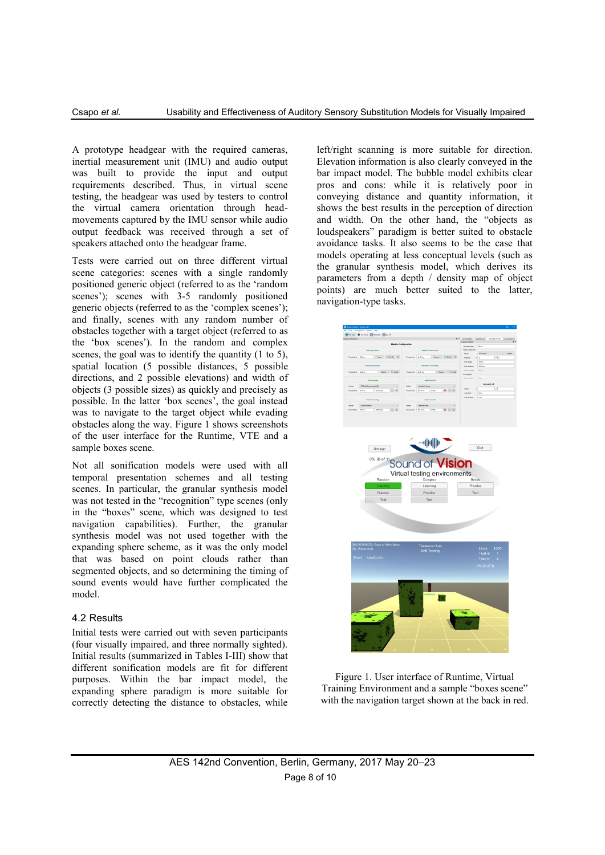A prototype headgear with the required cameras, inertial measurement unit (IMU) and audio output was built to provide the input and output requirements described. Thus, in virtual scene testing, the headgear was used by testers to control the virtual camera orientation through headmovements captured by the IMU sensor while audio output feedback was received through a set of speakers attached onto the headgear frame.

Tests were carried out on three different virtual scene categories: scenes with a single randomly positioned generic object (referred to as the 'random scenes'); scenes with 3-5 randomly positioned generic objects (referred to as the 'complex scenes'); and finally, scenes with any random number of obstacles together with a target object (referred to as the 'box scenes'). In the random and complex scenes, the goal was to identify the quantity (1 to 5), spatial location (5 possible distances, 5 possible directions, and 2 possible elevations) and width of objects (3 possible sizes) as quickly and precisely as possible. In the latter 'box scenes', the goal instead was to navigate to the target object while evading obstacles along the way. Figure 1 shows screenshots of the user interface for the Runtime, VTE and a sample boxes scene.

Not all sonification models were used with all temporal presentation schemes and all testing scenes. In particular, the granular synthesis model was not tested in the "recognition" type scenes (only in the "boxes" scene, which was designed to test navigation capabilities). Further, the granular synthesis model was not used together with the expanding sphere scheme, as it was the only model that was based on point clouds rather than segmented objects, and so determining the timing of sound events would have further complicated the model.

# 4.2 Results

Initial tests were carried out with seven participants (four visually impaired, and three normally sighted). Initial results (summarized in Tables I-III) show that different sonification models are fit for different purposes. Within the bar impact model, the expanding sphere paradigm is more suitable for correctly detecting the distance to obstacles, while left/right scanning is more suitable for direction. Elevation information is also clearly conveyed in the bar impact model. The bubble model exhibits clear pros and cons: while it is relatively poor in conveying distance and quantity information, it shows the best results in the perception of direction and width. On the other hand, the "objects as loudspeakers" paradigm is better suited to obstacle avoidance tasks. It also seems to be the case that models operating at less conceptual levels (such as the granular synthesis model, which derives its parameters from a depth / density map of object points) are much better suited to the latter, navigation-type tasks.



Figure 1. User interface of Runtime, Virtual Training Environment and a sample "boxes scene" with the navigation target shown at the back in red.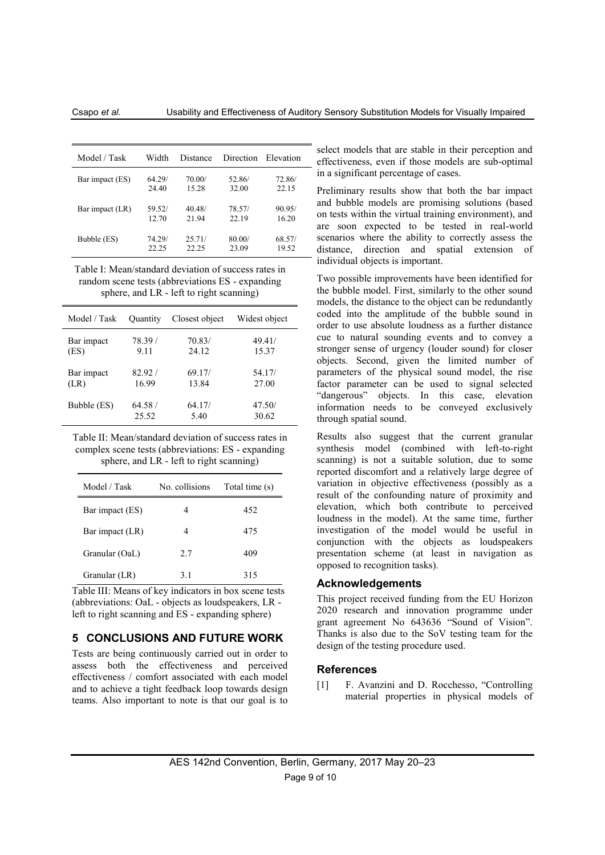| Model / Task    | Width  | Distance | Direction | Elevation |
|-----------------|--------|----------|-----------|-----------|
| Bar impact (ES) | 64.29/ | 70.00/   | 52.86/    | 72.86/    |
|                 | 24.40  | 15.28    | 32.00     | 22.15     |
| Bar impact (LR) | 59.52/ | 40.48/   | 78.57/    | 90.95/    |
|                 | 12.70  | 21.94    | 22.19     | 16.20     |
| Bubble (ES)     | 74.29/ | 25.71/   | 80.00/    | 68.57/    |
|                 | 22.25  | 22.25    | 23.09     | 19.52     |

Table I: Mean/standard deviation of success rates in random scene tests (abbreviations ES - expanding sphere, and LR - left to right scanning)

| Model / Task | Quantity | Closest object | Widest object |
|--------------|----------|----------------|---------------|
| Bar impact   | 78.39/   | 70.83/         | 49.41/        |
| (ES)         | 9.11     | 24.12          | 15.37         |
| Bar impact   | 82.92/   | 69.17/         | 54.17/        |
| (LR)         | 16.99    | 13.84          | 27.00         |
| Bubble (ES)  | 64.58/   | 64.17/         | 47.50/        |
|              | 25.52    | 5.40           | 30.62         |

Table II: Mean/standard deviation of success rates in complex scene tests (abbreviations: ES - expanding sphere, and LR - left to right scanning)

| Model / Task    | No. collisions | Total time (s) |
|-----------------|----------------|----------------|
| Bar impact (ES) |                | 452            |
| Bar impact (LR) | 4              | 475            |
| Granular (OaL)  | 2.7            | 409            |
| Granular (LR)   | 3.1            | 315            |

Table III: Means of key indicators in box scene tests (abbreviations: OaL - objects as loudspeakers, LR left to right scanning and ES - expanding sphere)

## **5 CONCLUSIONS AND FUTURE WORK**

Tests are being continuously carried out in order to assess both the effectiveness and perceived effectiveness / comfort associated with each model and to achieve a tight feedback loop towards design teams. Also important to note is that our goal is to

select models that are stable in their perception and effectiveness, even if those models are sub-optimal in a significant percentage of cases.

Preliminary results show that both the bar impact and bubble models are promising solutions (based on tests within the virtual training environment), and are soon expected to be tested in real-world scenarios where the ability to correctly assess the distance, direction and spatial extension of individual objects is important.

Two possible improvements have been identified for the bubble model. First, similarly to the other sound models, the distance to the object can be redundantly coded into the amplitude of the bubble sound in order to use absolute loudness as a further distance cue to natural sounding events and to convey a stronger sense of urgency (louder sound) for closer objects. Second, given the limited number of parameters of the physical sound model, the rise factor parameter can be used to signal selected "dangerous" objects. In this case, elevation information needs to be conveyed exclusively through spatial sound.

Results also suggest that the current granular synthesis model (combined with left-to-right scanning) is not a suitable solution, due to some reported discomfort and a relatively large degree of variation in objective effectiveness (possibly as a result of the confounding nature of proximity and elevation, which both contribute to perceived loudness in the model). At the same time, further investigation of the model would be useful in conjunction with the objects as loudspeakers presentation scheme (at least in navigation as opposed to recognition tasks).

### **Acknowledgements**

This project received funding from the EU Horizon 2020 research and innovation programme under grant agreement No 643636 "Sound of Vision". Thanks is also due to the SoV testing team for the design of the testing procedure used.

#### **References**

[1] F. Avanzini and D. Rocchesso, "Controlling material properties in physical models of